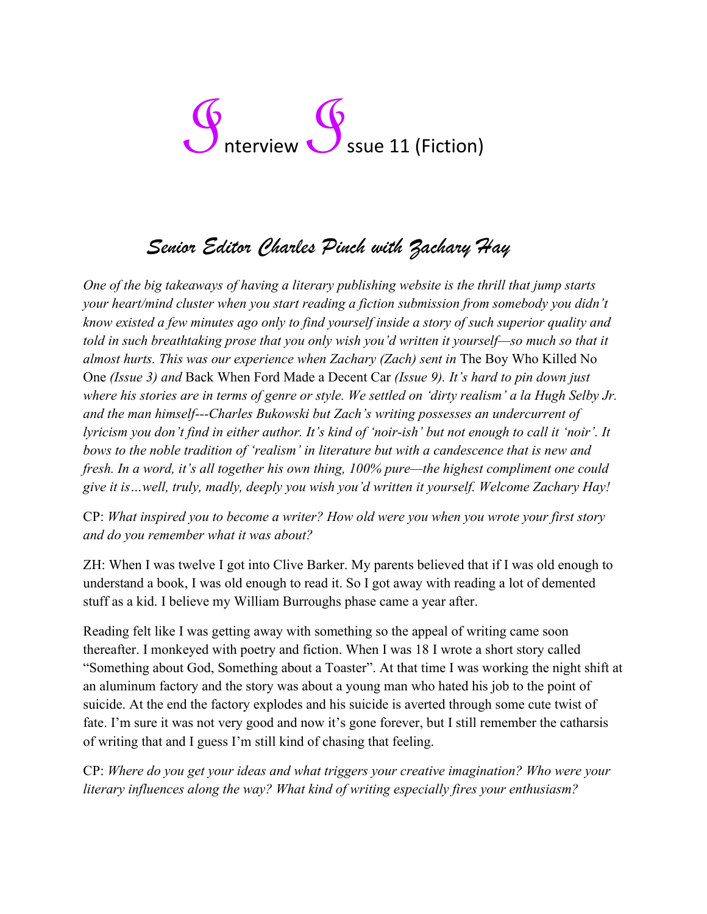## G<br>
Interview G<br>
Ssue 11 (Fiction)

## *Senior Editor Charles Pinch with Zachary Hay*

*One of the big takeaways of having a literary publishing website is the thrill that jump starts your heart/mind cluster when you start reading a fiction submission from somebody you didn't know existed a few minutes ago only to find yourself inside a story of such superior quality and told in such breathtaking prose that you only wish you'd written it yourself—so much so that it almost hurts. This was our experience when Zachary (Zach) sent in* The Boy Who Killed No One *(Issue 3) and* Back When Ford Made a Decent Car *(Issue 9). It's hard to pin down just*  where his stories are in terms of genre or style. We settled on 'dirty realism' a la *Hugh* Selby Jr. *and the man himself---Charles Bukowski but Zach's writing possesses an undercurrent of lyricism you don't find in either author. It's kind of 'noir-ish' but not enough to call it 'noir'. It bows to the noble tradition of 'realism' in literature but with a candescence that is new and fresh. In a word, it's all together his own thing, 100% pure—the highest compliment one could give it is…well, truly, madly, deeply you wish you'd written it yourself. Welcome Zachary Hay!*

CP: *What inspired you to become a writer? How old were you when you wrote your first story and do you remember what it was about?*

ZH: When I was twelve I got into Clive Barker. My parents believed that if I was old enough to understand a book, I was old enough to read it. So I got away with reading a lot of demented stuff as a kid. I believe my William Burroughs phase came a year after.

Reading felt like I was getting away with something so the appeal of writing came soon thereafter. I monkeyed with poetry and fiction. When I was 18 I wrote a short story called "Something about God, Something about a Toaster". At that time I was working the night shift at an aluminum factory and the story was about a young man who hated his job to the point of suicide. At the end the factory explodes and his suicide is averted through some cute twist of fate. I'm sure it was not very good and now it's gone forever, but I still remember the catharsis of writing that and I guess I'm still kind of chasing that feeling.

CP: *Where do you get your ideas and what triggers your creative imagination? Who were your literary influences along the way? What kind of writing especially fires your enthusiasm?*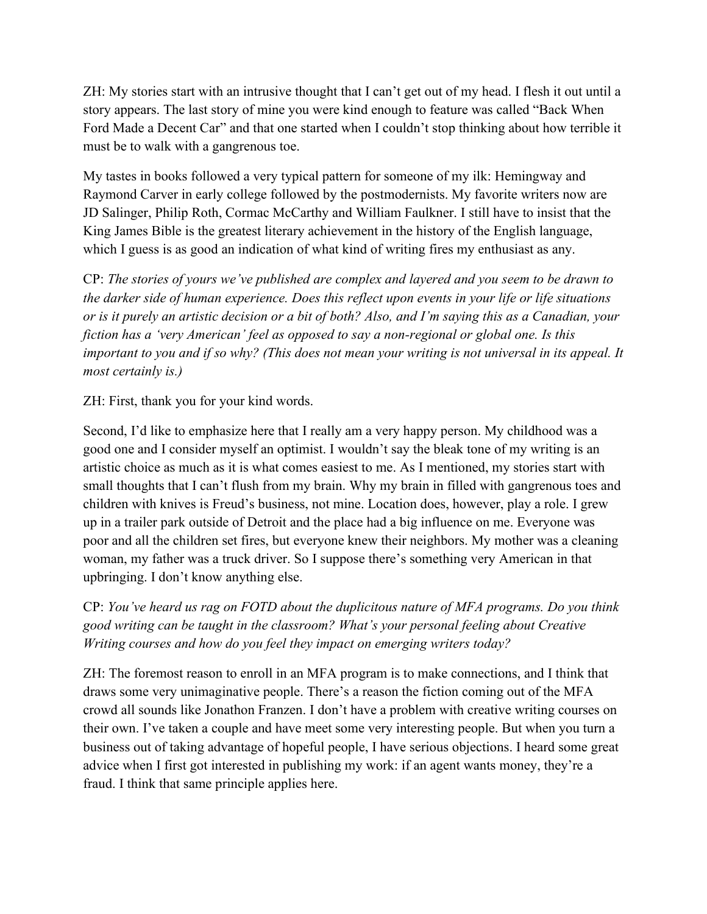ZH: My stories start with an intrusive thought that I can't get out of my head. I flesh it out until a story appears. The last story of mine you were kind enough to feature was called "Back When Ford Made a Decent Car" and that one started when I couldn't stop thinking about how terrible it must be to walk with a gangrenous toe.

My tastes in books followed a very typical pattern for someone of my ilk: Hemingway and Raymond Carver in early college followed by the postmodernists. My favorite writers now are JD Salinger, Philip Roth, Cormac McCarthy and William Faulkner. I still have to insist that the King James Bible is the greatest literary achievement in the history of the English language, which I guess is as good an indication of what kind of writing fires my enthusiast as any.

CP: *The stories of yours we've published are complex and layered and you seem to be drawn to the darker side of human experience. Does this reflect upon events in your life or life situations or is it purely an artistic decision or a bit of both? Also, and I'm saying this as a Canadian, your fiction has a 'very American' feel as opposed to say a non-regional or global one. Is this important to you and if so why? (This does not mean your writing is not universal in its appeal. It most certainly is.)*

ZH: First, thank you for your kind words.

Second, I'd like to emphasize here that I really am a very happy person. My childhood was a good one and I consider myself an optimist. I wouldn't say the bleak tone of my writing is an artistic choice as much as it is what comes easiest to me. As I mentioned, my stories start with small thoughts that I can't flush from my brain. Why my brain in filled with gangrenous toes and children with knives is Freud's business, not mine. Location does, however, play a role. I grew up in a trailer park outside of Detroit and the place had a big influence on me. Everyone was poor and all the children set fires, but everyone knew their neighbors. My mother was a cleaning woman, my father was a truck driver. So I suppose there's something very American in that upbringing. I don't know anything else.

CP: *You've heard us rag on FOTD about the duplicitous nature of MFA programs. Do you think good writing can be taught in the classroom? What's your personal feeling about Creative Writing courses and how do you feel they impact on emerging writers today?*

ZH: The foremost reason to enroll in an MFA program is to make connections, and I think that draws some very unimaginative people. There's a reason the fiction coming out of the MFA crowd all sounds like Jonathon Franzen. I don't have a problem with creative writing courses on their own. I've taken a couple and have meet some very interesting people. But when you turn a business out of taking advantage of hopeful people, I have serious objections. I heard some great advice when I first got interested in publishing my work: if an agent wants money, they're a fraud. I think that same principle applies here.